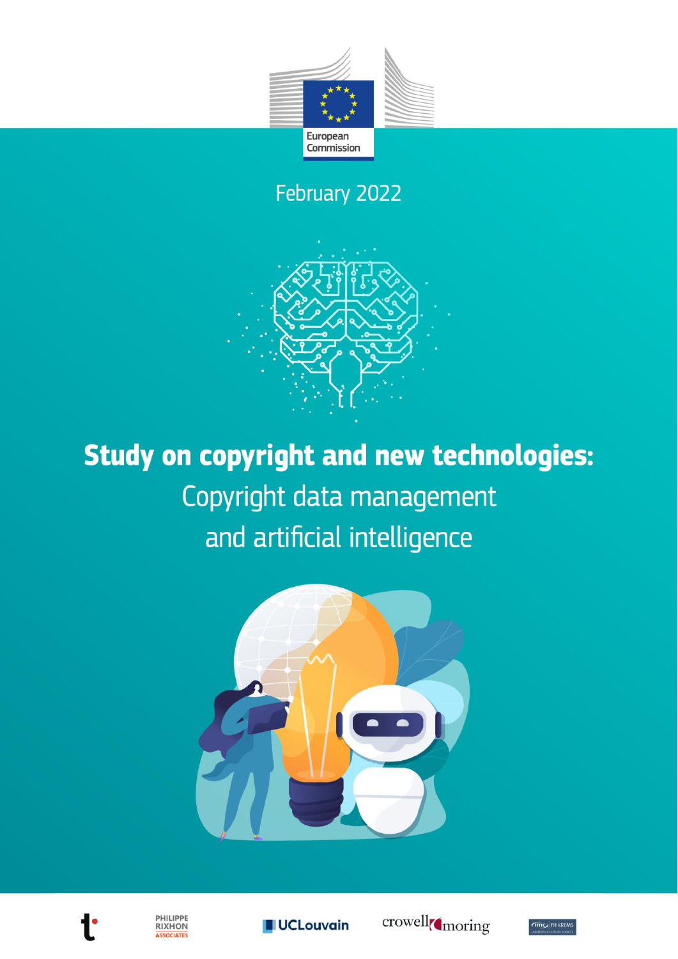

February 2022



**Study on copyright and new technologies:** Copyright data management and artificial intelligence





PHILIPPE **RIXHON** ASSOCIATES





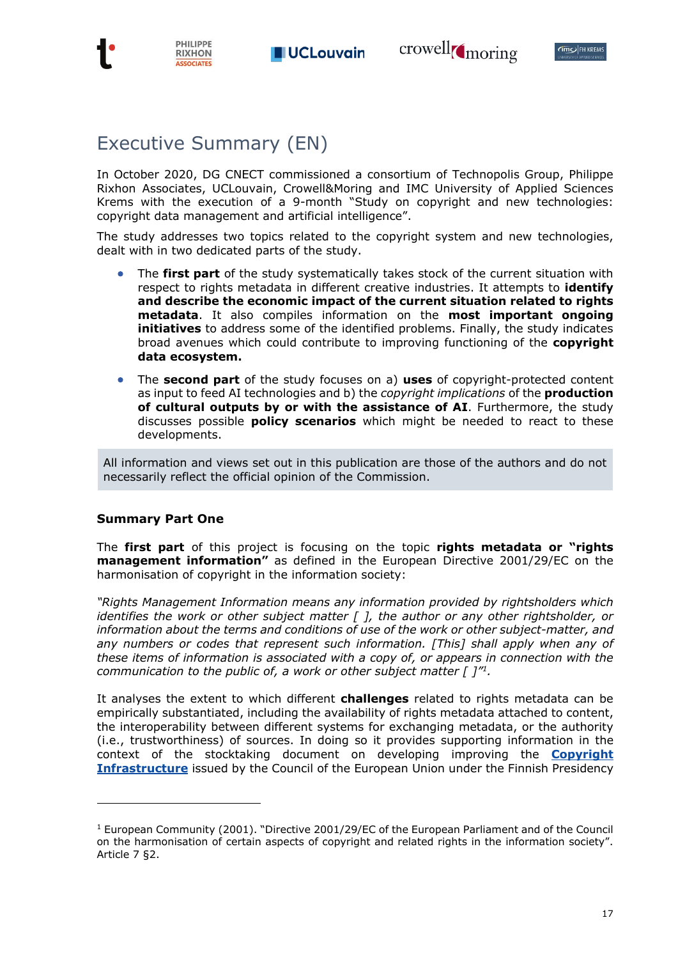

## Executive Summary (EN)

In October 2020, DG CNECT commissioned a consortium of Technopolis Group, Philippe Rixhon Associates, UCLouvain, Crowell&Moring and IMC University of Applied Sciences Krems with the execution of a 9-month "Study on copyright and new technologies: copyright data management and artificial intelligence".

The study addresses two topics related to the copyright system and new technologies, dealt with in two dedicated parts of the study.

- The **first part** of the study systematically takes stock of the current situation with respect to rights metadata in different creative industries. It attempts to **identify and describe the economic impact of the current situation related to rights metadata**. It also compiles information on the **most important ongoing initiatives** to address some of the identified problems. Finally, the study indicates broad avenues which could contribute to improving functioning of the **copyright data ecosystem.**
- The **second part** of the study focuses on a) **uses** of copyright-protected content as input to feed AI technologies and b) the *copyright implications* of the **production of cultural outputs by or with the assistance of AI**. Furthermore, the study discusses possible **policy scenarios** which might be needed to react to these developments.

All information and views set out in this publication are those of the authors and do not necessarily reflect the official opinion of the Commission.

### **Summary Part One**

The **first part** of this project is focusing on the topic **rights metadata or "rights management information"** as defined in the European Directive 2001/29/EC on the harmonisation of copyright in the information society:

*"Rights Management Information means any information provided by rightsholders which identifies the work or other subject matter [ ], the author or any other rightsholder, or information about the terms and conditions of use of the work or other subject-matter, and*  any numbers or codes that represent such information. [This] shall apply when any of *these items of information is associated with a copy of, or appears in connection with the communication to the public of, a work or other subject matter [ ]"<sup>1</sup> .*

It analyses the extent to which different **challenges** related to rights metadata can be empirically substantiated, including the availability of rights metadata attached to content, the interoperability between different systems for exchanging metadata, or the authority (i.e., trustworthiness) of sources. In doing so it provides supporting information in the context of the stocktaking document on developing improving the **[Copyright](https://data.consilium.europa.eu/doc/document/ST-15016-2019-INIT/en/pdf)  [Infrastructure](https://data.consilium.europa.eu/doc/document/ST-15016-2019-INIT/en/pdf)** issued by the Council of the European Union under the Finnish Presidency

<sup>&</sup>lt;sup>1</sup> European Community (2001). "Directive 2001/29/EC of the European Parliament and of the Council on the harmonisation of certain aspects of copyright and related rights in the information society". Article 7 §2.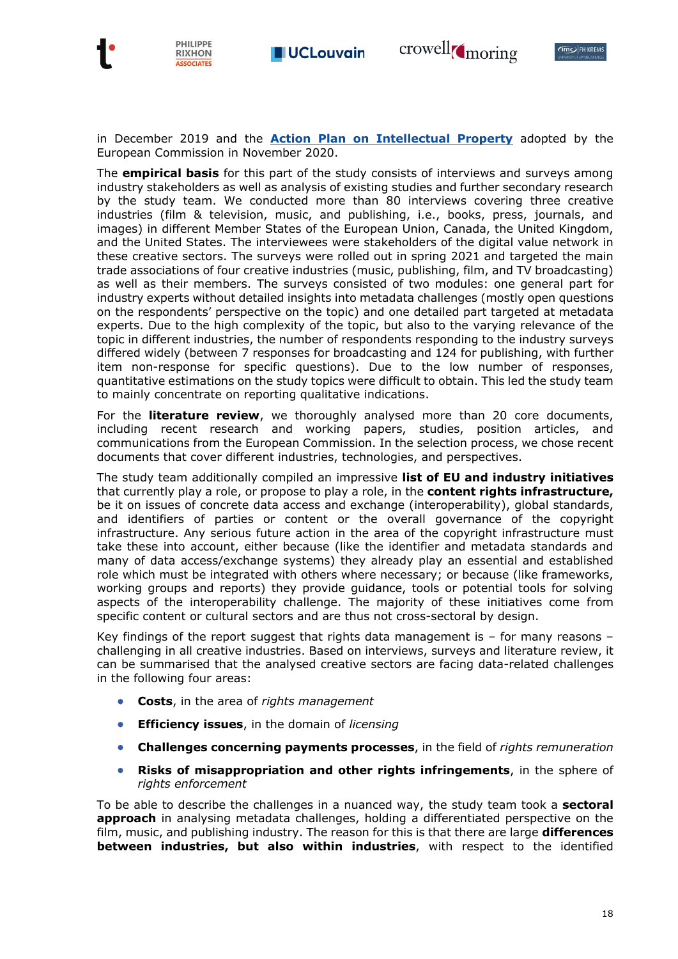



in December 2019 and the **[Action Plan on Intellectual Property](https://ec.europa.eu/commission/presscorner/detail/en/ip_20_2187)** adopted by the European Commission in November 2020.

The **empirical basis** for this part of the study consists of interviews and surveys among industry stakeholders as well as analysis of existing studies and further secondary research by the study team. We conducted more than 80 interviews covering three creative industries (film & television, music, and publishing, i.e., books, press, journals, and images) in different Member States of the European Union, Canada, the United Kingdom, and the United States. The interviewees were stakeholders of the digital value network in these creative sectors. The surveys were rolled out in spring 2021 and targeted the main trade associations of four creative industries (music, publishing, film, and TV broadcasting) as well as their members. The surveys consisted of two modules: one general part for industry experts without detailed insights into metadata challenges (mostly open questions on the respondents' perspective on the topic) and one detailed part targeted at metadata experts. Due to the high complexity of the topic, but also to the varying relevance of the topic in different industries, the number of respondents responding to the industry surveys differed widely (between 7 responses for broadcasting and 124 for publishing, with further item non-response for specific questions). Due to the low number of responses, quantitative estimations on the study topics were difficult to obtain. This led the study team to mainly concentrate on reporting qualitative indications.

For the **literature review**, we thoroughly analysed more than 20 core documents, including recent research and working papers, studies, position articles, and communications from the European Commission. In the selection process, we chose recent documents that cover different industries, technologies, and perspectives.

The study team additionally compiled an impressive **list of EU and industry initiatives** that currently play a role, or propose to play a role, in the **content rights infrastructure,**  be it on issues of concrete data access and exchange (interoperability), global standards, and identifiers of parties or content or the overall governance of the copyright infrastructure. Any serious future action in the area of the copyright infrastructure must take these into account, either because (like the identifier and metadata standards and many of data access/exchange systems) they already play an essential and established role which must be integrated with others where necessary; or because (like frameworks, working groups and reports) they provide guidance, tools or potential tools for solving aspects of the interoperability challenge. The majority of these initiatives come from specific content or cultural sectors and are thus not cross-sectoral by design.

Key findings of the report suggest that rights data management is  $-$  for many reasons  $$ challenging in all creative industries. Based on interviews, surveys and literature review, it can be summarised that the analysed creative sectors are facing data-related challenges in the following four areas:

- **Costs**, in the area of *rights management*
- **Efficiency issues**, in the domain of *licensing*
- **Challenges concerning payments processes**, in the field of *rights remuneration*
- **Risks of misappropriation and other rights infringements**, in the sphere of *rights enforcement*

To be able to describe the challenges in a nuanced way, the study team took a **sectoral approach** in analysing metadata challenges, holding a differentiated perspective on the film, music, and publishing industry. The reason for this is that there are large **differences between industries, but also within industries**, with respect to the identified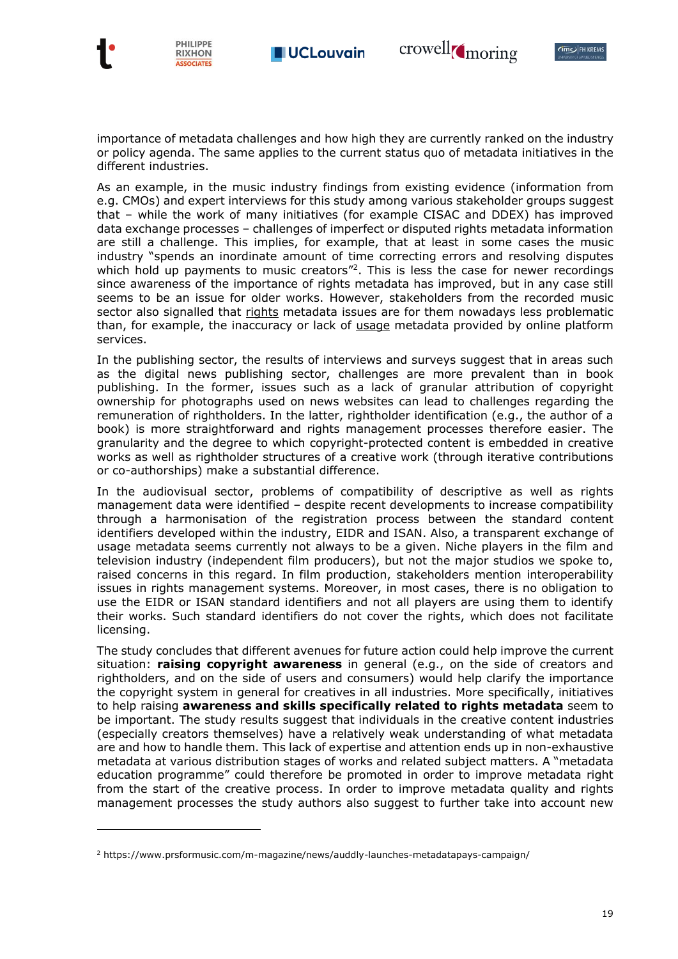PHILIPPE

**RIXHON SSOCIATES** 



importance of metadata challenges and how high they are currently ranked on the industry or policy agenda. The same applies to the current status quo of metadata initiatives in the different industries.

As an example, in the music industry findings from existing evidence (information from e.g. CMOs) and expert interviews for this study among various stakeholder groups suggest that – while the work of many initiatives (for example CISAC and DDEX) has improved data exchange processes – challenges of imperfect or disputed rights metadata information are still a challenge. This implies, for example, that at least in some cases the music industry "spends an inordinate amount of time correcting errors and resolving disputes which hold up payments to music creators<sup>"2</sup>. This is less the case for newer recordings since awareness of the importance of rights metadata has improved, but in any case still seems to be an issue for older works. However, stakeholders from the recorded music sector also signalled that rights metadata issues are for them nowadays less problematic than, for example, the inaccuracy or lack of usage metadata provided by online platform services.

In the publishing sector, the results of interviews and surveys suggest that in areas such as the digital news publishing sector, challenges are more prevalent than in book publishing. In the former, issues such as a lack of granular attribution of copyright ownership for photographs used on news websites can lead to challenges regarding the remuneration of rightholders. In the latter, rightholder identification (e.g., the author of a book) is more straightforward and rights management processes therefore easier. The granularity and the degree to which copyright-protected content is embedded in creative works as well as rightholder structures of a creative work (through iterative contributions or co-authorships) make a substantial difference.

In the audiovisual sector, problems of compatibility of descriptive as well as rights management data were identified – despite recent developments to increase compatibility through a harmonisation of the registration process between the standard content identifiers developed within the industry, EIDR and ISAN. Also, a transparent exchange of usage metadata seems currently not always to be a given. Niche players in the film and television industry (independent film producers), but not the major studios we spoke to, raised concerns in this regard. In film production, stakeholders mention interoperability issues in rights management systems. Moreover, in most cases, there is no obligation to use the EIDR or ISAN standard identifiers and not all players are using them to identify their works. Such standard identifiers do not cover the rights, which does not facilitate licensing.

The study concludes that different avenues for future action could help improve the current situation: **raising copyright awareness** in general (e.g., on the side of creators and rightholders, and on the side of users and consumers) would help clarify the importance the copyright system in general for creatives in all industries. More specifically, initiatives to help raising **awareness and skills specifically related to rights metadata** seem to be important. The study results suggest that individuals in the creative content industries (especially creators themselves) have a relatively weak understanding of what metadata are and how to handle them. This lack of expertise and attention ends up in non-exhaustive metadata at various distribution stages of works and related subject matters. A "metadata education programme" could therefore be promoted in order to improve metadata right from the start of the creative process. In order to improve metadata quality and rights management processes the study authors also suggest to further take into account new

<sup>2</sup> https://www.prsformusic.com/m-magazine/news/auddly-launches-metadatapays-campaign/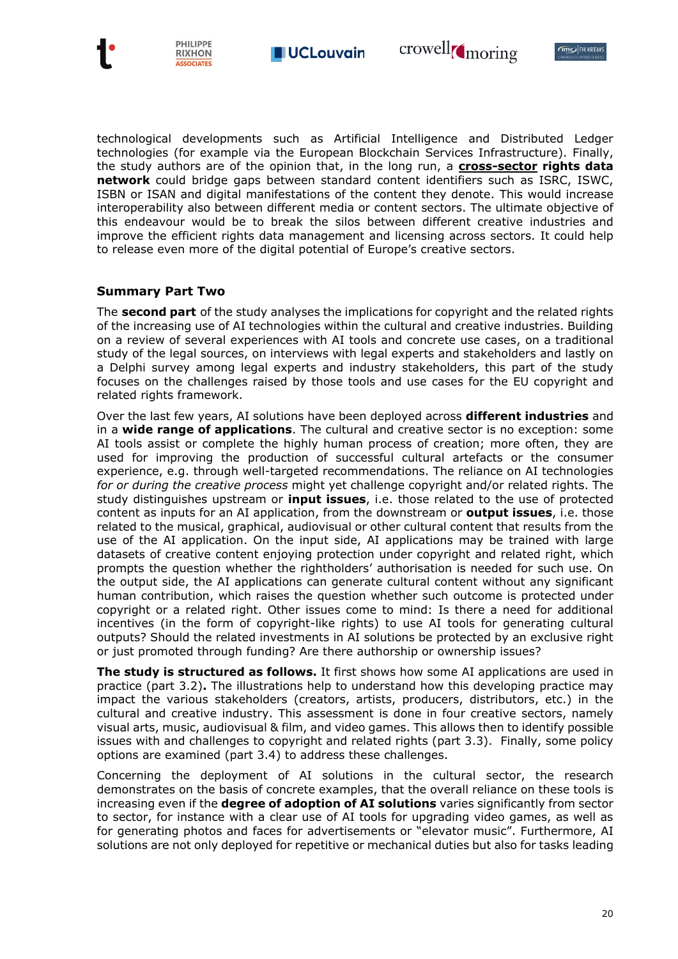



technological developments such as Artificial Intelligence and Distributed Ledger technologies (for example via the European Blockchain Services Infrastructure). Finally, the study authors are of the opinion that, in the long run, a **cross-sector rights data network** could bridge gaps between standard content identifiers such as ISRC, ISWC, ISBN or ISAN and digital manifestations of the content they denote. This would increase interoperability also between different media or content sectors. The ultimate objective of this endeavour would be to break the silos between different creative industries and improve the efficient rights data management and licensing across sectors. It could help to release even more of the digital potential of Europe's creative sectors.

#### **Summary Part Two**

PHILIPPE

**RIXHON ASSOCIATES** 

The **second part** of the study analyses the implications for copyright and the related rights of the increasing use of AI technologies within the cultural and creative industries. Building on a review of several experiences with AI tools and concrete use cases, on a traditional study of the legal sources, on interviews with legal experts and stakeholders and lastly on a Delphi survey among legal experts and industry stakeholders, this part of the study focuses on the challenges raised by those tools and use cases for the EU copyright and related rights framework.

Over the last few years, AI solutions have been deployed across **different industries** and in a **wide range of applications**. The cultural and creative sector is no exception: some AI tools assist or complete the highly human process of creation; more often, they are used for improving the production of successful cultural artefacts or the consumer experience, e.g. through well-targeted recommendations. The reliance on AI technologies *for or during the creative process* might yet challenge copyright and/or related rights. The study distinguishes upstream or **input issues**, i.e. those related to the use of protected content as inputs for an AI application, from the downstream or **output issues**, i.e. those related to the musical, graphical, audiovisual or other cultural content that results from the use of the AI application. On the input side, AI applications may be trained with large datasets of creative content enjoying protection under copyright and related right, which prompts the question whether the rightholders' authorisation is needed for such use. On the output side, the AI applications can generate cultural content without any significant human contribution, which raises the question whether such outcome is protected under copyright or a related right. Other issues come to mind: Is there a need for additional incentives (in the form of copyright-like rights) to use AI tools for generating cultural outputs? Should the related investments in AI solutions be protected by an exclusive right or just promoted through funding? Are there authorship or ownership issues?

**The study is structured as follows.** It first shows how some AI applications are used in practice (part 3.2)**.** The illustrations help to understand how this developing practice may impact the various stakeholders (creators, artists, producers, distributors, etc.) in the cultural and creative industry. This assessment is done in four creative sectors, namely visual arts, music, audiovisual & film, and video games. This allows then to identify possible issues with and challenges to copyright and related rights (part 3.3). Finally, some policy options are examined (part 3.4) to address these challenges.

Concerning the deployment of AI solutions in the cultural sector, the research demonstrates on the basis of concrete examples, that the overall reliance on these tools is increasing even if the **degree of adoption of AI solutions** varies significantly from sector to sector, for instance with a clear use of AI tools for upgrading video games, as well as for generating photos and faces for advertisements or "elevator music". Furthermore, AI solutions are not only deployed for repetitive or mechanical duties but also for tasks leading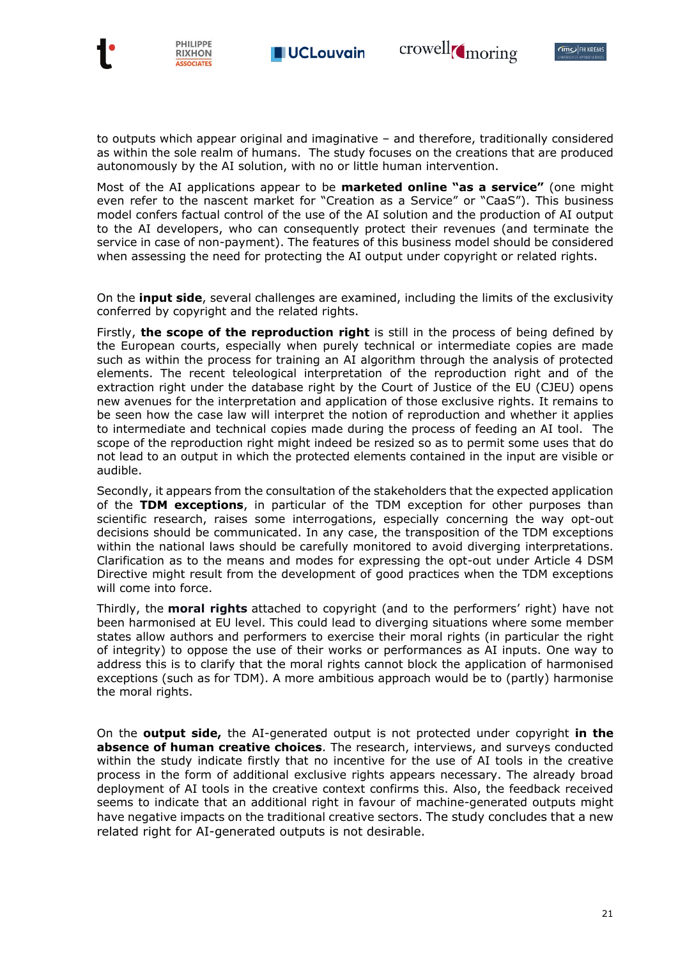crowell<sub>(moring</sub>





to outputs which appear original and imaginative – and therefore, traditionally considered as within the sole realm of humans. The study focuses on the creations that are produced autonomously by the AI solution, with no or little human intervention.

Most of the AI applications appear to be **marketed online "as a service"** (one might even refer to the nascent market for "Creation as a Service" or "CaaS"). This business model confers factual control of the use of the AI solution and the production of AI output to the AI developers, who can consequently protect their revenues (and terminate the service in case of non-payment). The features of this business model should be considered when assessing the need for protecting the AI output under copyright or related rights.

On the **input side**, several challenges are examined, including the limits of the exclusivity conferred by copyright and the related rights.

Firstly, **the scope of the reproduction right** is still in the process of being defined by the European courts, especially when purely technical or intermediate copies are made such as within the process for training an AI algorithm through the analysis of protected elements. The recent teleological interpretation of the reproduction right and of the extraction right under the database right by the Court of Justice of the EU (CJEU) opens new avenues for the interpretation and application of those exclusive rights. It remains to be seen how the case law will interpret the notion of reproduction and whether it applies to intermediate and technical copies made during the process of feeding an AI tool. The scope of the reproduction right might indeed be resized so as to permit some uses that do not lead to an output in which the protected elements contained in the input are visible or audible.

Secondly, it appears from the consultation of the stakeholders that the expected application of the **TDM exceptions**, in particular of the TDM exception for other purposes than scientific research, raises some interrogations, especially concerning the way opt-out decisions should be communicated. In any case, the transposition of the TDM exceptions within the national laws should be carefully monitored to avoid diverging interpretations. Clarification as to the means and modes for expressing the opt-out under Article 4 DSM Directive might result from the development of good practices when the TDM exceptions will come into force.

Thirdly, the **moral rights** attached to copyright (and to the performers' right) have not been harmonised at EU level. This could lead to diverging situations where some member states allow authors and performers to exercise their moral rights (in particular the right of integrity) to oppose the use of their works or performances as AI inputs. One way to address this is to clarify that the moral rights cannot block the application of harmonised exceptions (such as for TDM). A more ambitious approach would be to (partly) harmonise the moral rights.

On the **output side,** the AI-generated output is not protected under copyright **in the absence of human creative choices**. The research, interviews, and surveys conducted within the study indicate firstly that no incentive for the use of AI tools in the creative process in the form of additional exclusive rights appears necessary. The already broad deployment of AI tools in the creative context confirms this. Also, the feedback received seems to indicate that an additional right in favour of machine-generated outputs might have negative impacts on the traditional creative sectors. The study concludes that a new related right for AI-generated outputs is not desirable.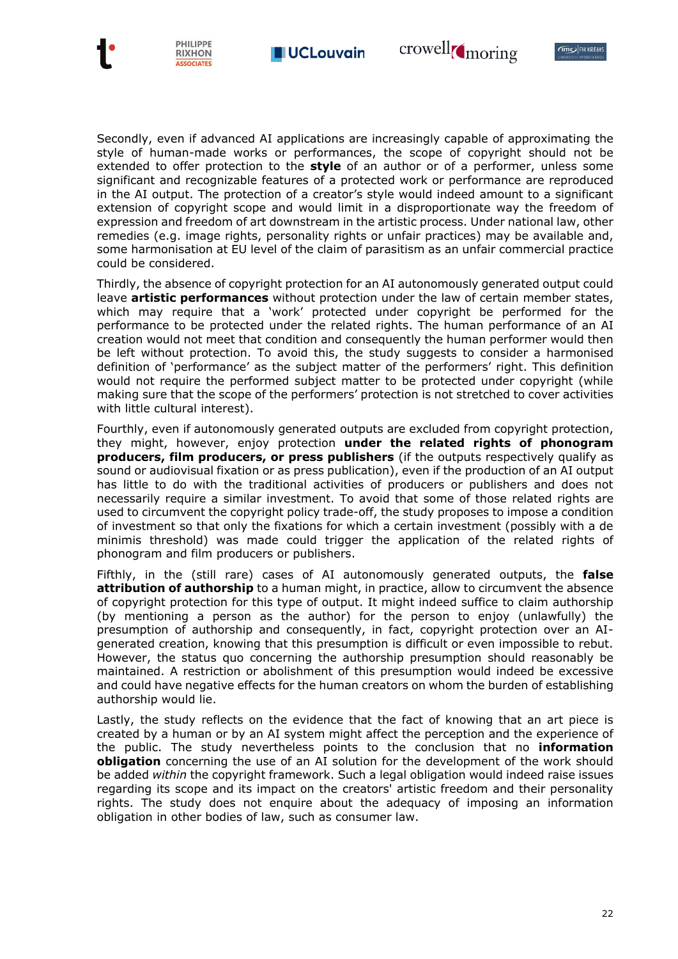**CIMO FH KREMS** 





Secondly, even if advanced AI applications are increasingly capable of approximating the style of human-made works or performances, the scope of copyright should not be extended to offer protection to the **style** of an author or of a performer, unless some significant and recognizable features of a protected work or performance are reproduced in the AI output. The protection of a creator's style would indeed amount to a significant extension of copyright scope and would limit in a disproportionate way the freedom of expression and freedom of art downstream in the artistic process. Under national law, other remedies (e.g. image rights, personality rights or unfair practices) may be available and, some harmonisation at EU level of the claim of parasitism as an unfair commercial practice could be considered.

Thirdly, the absence of copyright protection for an AI autonomously generated output could leave **artistic performances** without protection under the law of certain member states, which may require that a 'work' protected under copyright be performed for the performance to be protected under the related rights. The human performance of an AI creation would not meet that condition and consequently the human performer would then be left without protection. To avoid this, the study suggests to consider a harmonised definition of 'performance' as the subject matter of the performers' right. This definition would not require the performed subject matter to be protected under copyright (while making sure that the scope of the performers' protection is not stretched to cover activities with little cultural interest).

Fourthly, even if autonomously generated outputs are excluded from copyright protection, they might, however, enjoy protection **under the related rights of phonogram producers, film producers, or press publishers** (if the outputs respectively qualify as sound or audiovisual fixation or as press publication), even if the production of an AI output has little to do with the traditional activities of producers or publishers and does not necessarily require a similar investment. To avoid that some of those related rights are used to circumvent the copyright policy trade-off, the study proposes to impose a condition of investment so that only the fixations for which a certain investment (possibly with a de minimis threshold) was made could trigger the application of the related rights of phonogram and film producers or publishers.

Fifthly, in the (still rare) cases of AI autonomously generated outputs, the **false attribution of authorship** to a human might, in practice, allow to circumvent the absence of copyright protection for this type of output. It might indeed suffice to claim authorship (by mentioning a person as the author) for the person to enjoy (unlawfully) the presumption of authorship and consequently, in fact, copyright protection over an AIgenerated creation, knowing that this presumption is difficult or even impossible to rebut. However, the status quo concerning the authorship presumption should reasonably be maintained. A restriction or abolishment of this presumption would indeed be excessive and could have negative effects for the human creators on whom the burden of establishing authorship would lie.

Lastly, the study reflects on the evidence that the fact of knowing that an art piece is created by a human or by an AI system might affect the perception and the experience of the public. The study nevertheless points to the conclusion that no **information obligation** concerning the use of an AI solution for the development of the work should be added *within* the copyright framework. Such a legal obligation would indeed raise issues regarding its scope and its impact on the creators' artistic freedom and their personality rights. The study does not enquire about the adequacy of imposing an information obligation in other bodies of law, such as consumer law.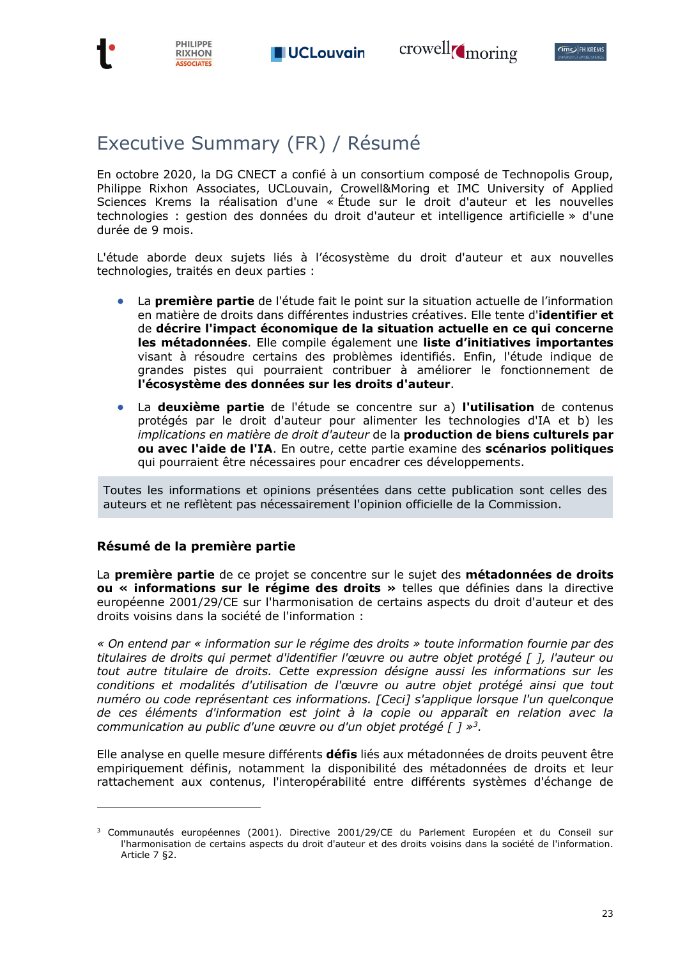



# Executive Summary (FR) / Résumé

**PHILIPPE** 

**RIXHON** ASSOCIATES

En octobre 2020, la DG CNECT a confié à un consortium composé de Technopolis Group, Philippe Rixhon Associates, UCLouvain, Crowell&Moring et IMC University of Applied Sciences Krems la réalisation d'une « Étude sur le droit d'auteur et les nouvelles technologies : gestion des données du droit d'auteur et intelligence artificielle » d'une durée de 9 mois.

L'étude aborde deux sujets liés à l'écosystème du droit d'auteur et aux nouvelles technologies, traités en deux parties :

- La **première partie** de l'étude fait le point sur la situation actuelle de l'information en matière de droits dans différentes industries créatives. Elle tente d'**identifier et** de **décrire l'impact économique de la situation actuelle en ce qui concerne les métadonnées**. Elle compile également une **liste d'initiatives importantes** visant à résoudre certains des problèmes identifiés. Enfin, l'étude indique de grandes pistes qui pourraient contribuer à améliorer le fonctionnement de **l'écosystème des données sur les droits d'auteur**.
- La **deuxième partie** de l'étude se concentre sur a) **l'utilisation** de contenus protégés par le droit d'auteur pour alimenter les technologies d'IA et b) les *implications en matière de droit d'auteur* de la **production de biens culturels par ou avec l'aide de l'IA**. En outre, cette partie examine des **scénarios politiques** qui pourraient être nécessaires pour encadrer ces développements.

Toutes les informations et opinions présentées dans cette publication sont celles des auteurs et ne reflètent pas nécessairement l'opinion officielle de la Commission.

### **Résumé de la première partie**

La **première partie** de ce projet se concentre sur le sujet des **métadonnées de droits ou « informations sur le régime des droits »** telles que définies dans la directive européenne 2001/29/CE sur l'harmonisation de certains aspects du droit d'auteur et des droits voisins dans la société de l'information :

*« On entend par « information sur le régime des droits » toute information fournie par des titulaires de droits qui permet d'identifier l'œuvre ou autre objet protégé [ ], l'auteur ou tout autre titulaire de droits. Cette expression désigne aussi les informations sur les conditions et modalités d'utilisation de l'œuvre ou autre objet protégé ainsi que tout numéro ou code représentant ces informations. [Ceci] s'applique lorsque l'un quelconque de ces éléments d'information est joint à la copie ou apparaît en relation avec la communication au public d'une œuvre ou d'un objet protégé [ ] » 3 .*

Elle analyse en quelle mesure différents **défis** liés aux métadonnées de droits peuvent être empiriquement définis, notamment la disponibilité des métadonnées de droits et leur rattachement aux contenus, l'interopérabilité entre différents systèmes d'échange de

<sup>3</sup> Communautés européennes (2001). Directive 2001/29/CE du Parlement Européen et du Conseil sur l'harmonisation de certains aspects du droit d'auteur et des droits voisins dans la société de l'information. Article 7 §2.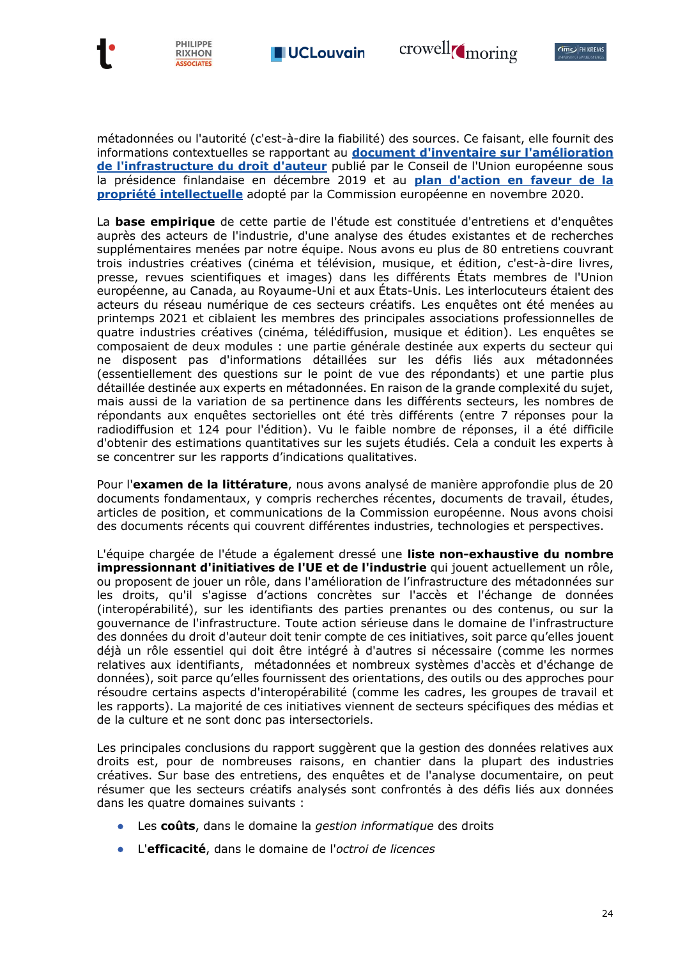



métadonnées ou l'autorité (c'est-à-dire la fiabilité) des sources. Ce faisant, elle fournit des informations contextuelles se rapportant au **[document d'inventaire sur l'amélioration](https://data.consilium.europa.eu/doc/document/ST-15016-2019-INIT/en/pdf)  [de l'infrastructure du droit d'auteur](https://data.consilium.europa.eu/doc/document/ST-15016-2019-INIT/en/pdf)** publié par le Conseil de l'Union européenne sous la présidence finlandaise en décembre 2019 et au **[plan d'action en faveur de la](https://ec.europa.eu/commission/presscorner/detail/fr/IP_20_2187)  [propriété intellectuelle](https://ec.europa.eu/commission/presscorner/detail/fr/IP_20_2187)** adopté par la Commission européenne en novembre 2020.

La **base empirique** de cette partie de l'étude est constituée d'entretiens et d'enquêtes auprès des acteurs de l'industrie, d'une analyse des études existantes et de recherches supplémentaires menées par notre équipe. Nous avons eu plus de 80 entretiens couvrant trois industries créatives (cinéma et télévision, musique, et édition, c'est-à-dire livres, presse, revues scientifiques et images) dans les différents États membres de l'Union européenne, au Canada, au Royaume-Uni et aux États-Unis. Les interlocuteurs étaient des acteurs du réseau numérique de ces secteurs créatifs. Les enquêtes ont été menées au printemps 2021 et ciblaient les membres des principales associations professionnelles de quatre industries créatives (cinéma, télédiffusion, musique et édition). Les enquêtes se composaient de deux modules : une partie générale destinée aux experts du secteur qui ne disposent pas d'informations détaillées sur les défis liés aux métadonnées (essentiellement des questions sur le point de vue des répondants) et une partie plus détaillée destinée aux experts en métadonnées. En raison de la grande complexité du sujet, mais aussi de la variation de sa pertinence dans les différents secteurs, les nombres de répondants aux enquêtes sectorielles ont été très différents (entre 7 réponses pour la radiodiffusion et 124 pour l'édition). Vu le faible nombre de réponses, il a été difficile d'obtenir des estimations quantitatives sur les sujets étudiés. Cela a conduit les experts à se concentrer sur les rapports d'indications qualitatives.

Pour l'**examen de la littérature**, nous avons analysé de manière approfondie plus de 20 documents fondamentaux, y compris recherches récentes, documents de travail, études, articles de position, et communications de la Commission européenne. Nous avons choisi des documents récents qui couvrent différentes industries, technologies et perspectives.

L'équipe chargée de l'étude a également dressé une **liste non-exhaustive du nombre impressionnant d'initiatives de l'UE et de l'industrie** qui jouent actuellement un rôle, ou proposent de jouer un rôle, dans l'amélioration de l'infrastructure des métadonnées sur les droits, qu'il s'agisse d'actions concrètes sur l'accès et l'échange de données (interopérabilité), sur les identifiants des parties prenantes ou des contenus, ou sur la gouvernance de l'infrastructure. Toute action sérieuse dans le domaine de l'infrastructure des données du droit d'auteur doit tenir compte de ces initiatives, soit parce qu'elles jouent déjà un rôle essentiel qui doit être intégré à d'autres si nécessaire (comme les normes relatives aux identifiants, métadonnées et nombreux systèmes d'accès et d'échange de données), soit parce qu'elles fournissent des orientations, des outils ou des approches pour résoudre certains aspects d'interopérabilité (comme les cadres, les groupes de travail et les rapports). La majorité de ces initiatives viennent de secteurs spécifiques des médias et de la culture et ne sont donc pas intersectoriels.

Les principales conclusions du rapport suggèrent que la gestion des données relatives aux droits est, pour de nombreuses raisons, en chantier dans la plupart des industries créatives. Sur base des entretiens, des enquêtes et de l'analyse documentaire, on peut résumer que les secteurs créatifs analysés sont confrontés à des défis liés aux données dans les quatre domaines suivants :

- Les **coûts**, dans le domaine la *gestion informatique* des droits
- L'**efficacité**, dans le domaine de l'*octroi de licences*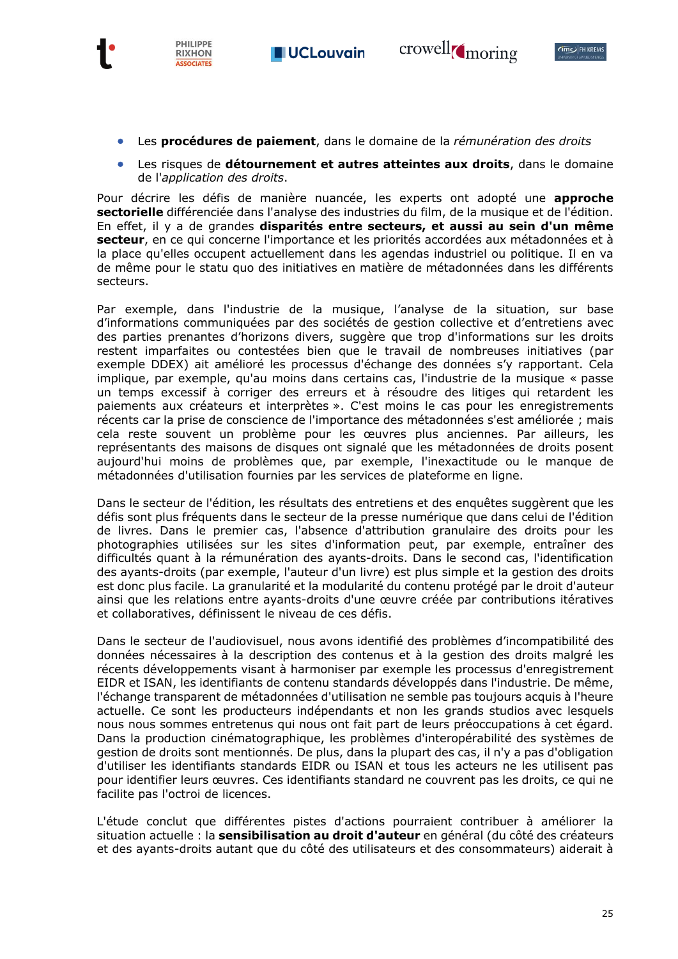



- Les **procédures de paiement**, dans le domaine de la *rémunération des droits*
- Les risques de **détournement et autres atteintes aux droits**, dans le domaine de l'*application des droits*.

Pour décrire les défis de manière nuancée, les experts ont adopté une **approche sectorielle** différenciée dans l'analyse des industries du film, de la musique et de l'édition. En effet, il y a de grandes **disparités entre secteurs, et aussi au sein d'un même secteur**, en ce qui concerne l'importance et les priorités accordées aux métadonnées et à la place qu'elles occupent actuellement dans les agendas industriel ou politique. Il en va de même pour le statu quo des initiatives en matière de métadonnées dans les différents secteurs.

Par exemple, dans l'industrie de la musique, l'analyse de la situation, sur base d'informations communiquées par des sociétés de gestion collective et d'entretiens avec des parties prenantes d'horizons divers, suggère que trop d'informations sur les droits restent imparfaites ou contestées bien que le travail de nombreuses initiatives (par exemple DDEX) ait amélioré les processus d'échange des données s'y rapportant. Cela implique, par exemple, qu'au moins dans certains cas, l'industrie de la musique « passe un temps excessif à corriger des erreurs et à résoudre des litiges qui retardent les paiements aux créateurs et interprètes ». C'est moins le cas pour les enregistrements récents car la prise de conscience de l'importance des métadonnées s'est améliorée ; mais cela reste souvent un problème pour les œuvres plus anciennes. Par ailleurs, les représentants des maisons de disques ont signalé que les métadonnées de droits posent aujourd'hui moins de problèmes que, par exemple, l'inexactitude ou le manque de métadonnées d'utilisation fournies par les services de plateforme en ligne.

Dans le secteur de l'édition, les résultats des entretiens et des enquêtes suggèrent que les défis sont plus fréquents dans le secteur de la presse numérique que dans celui de l'édition de livres. Dans le premier cas, l'absence d'attribution granulaire des droits pour les photographies utilisées sur les sites d'information peut, par exemple, entraîner des difficultés quant à la rémunération des ayants-droits. Dans le second cas, l'identification des ayants-droits (par exemple, l'auteur d'un livre) est plus simple et la gestion des droits est donc plus facile. La granularité et la modularité du contenu protégé par le droit d'auteur ainsi que les relations entre ayants-droits d'une œuvre créée par contributions itératives et collaboratives, définissent le niveau de ces défis.

Dans le secteur de l'audiovisuel, nous avons identifié des problèmes d'incompatibilité des données nécessaires à la description des contenus et à la gestion des droits malgré les récents développements visant à harmoniser par exemple les processus d'enregistrement EIDR et ISAN, les identifiants de contenu standards développés dans l'industrie. De même, l'échange transparent de métadonnées d'utilisation ne semble pas toujours acquis à l'heure actuelle. Ce sont les producteurs indépendants et non les grands studios avec lesquels nous nous sommes entretenus qui nous ont fait part de leurs préoccupations à cet égard. Dans la production cinématographique, les problèmes d'interopérabilité des systèmes de gestion de droits sont mentionnés. De plus, dans la plupart des cas, il n'y a pas d'obligation d'utiliser les identifiants standards EIDR ou ISAN et tous les acteurs ne les utilisent pas pour identifier leurs œuvres. Ces identifiants standard ne couvrent pas les droits, ce qui ne facilite pas l'octroi de licences.

L'étude conclut que différentes pistes d'actions pourraient contribuer à améliorer la situation actuelle : la **sensibilisation au droit d'auteur** en général (du côté des créateurs et des ayants-droits autant que du côté des utilisateurs et des consommateurs) aiderait à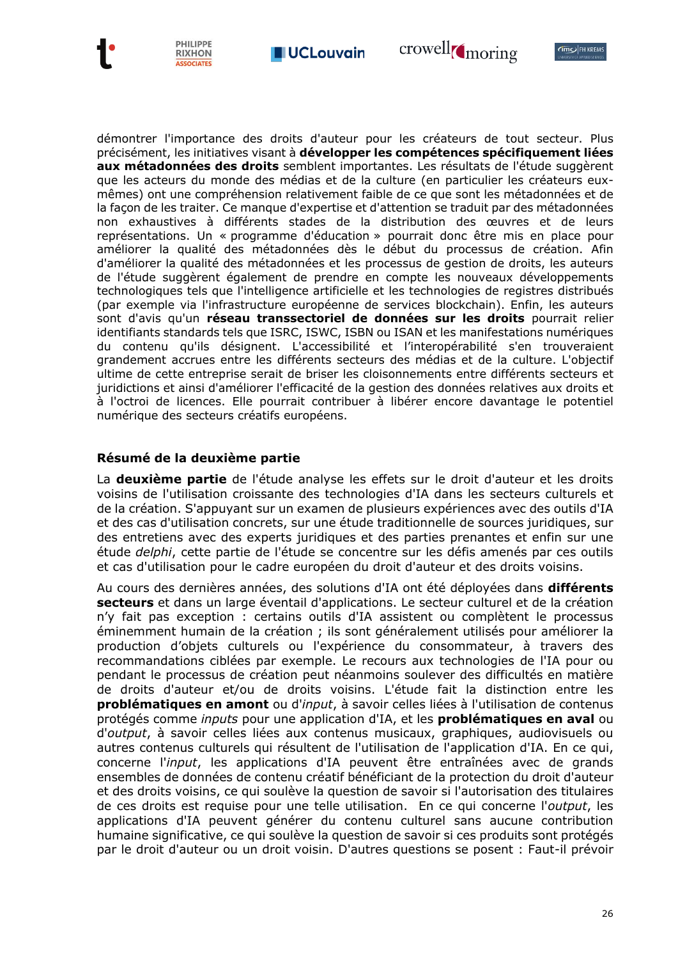





démontrer l'importance des droits d'auteur pour les créateurs de tout secteur. Plus précisément, les initiatives visant à **développer les compétences spécifiquement liées aux métadonnées des droits** semblent importantes. Les résultats de l'étude suggèrent que les acteurs du monde des médias et de la culture (en particulier les créateurs euxmêmes) ont une compréhension relativement faible de ce que sont les métadonnées et de la façon de les traiter. Ce manque d'expertise et d'attention se traduit par des métadonnées non exhaustives à différents stades de la distribution des œuvres et de leurs représentations. Un « programme d'éducation » pourrait donc être mis en place pour améliorer la qualité des métadonnées dès le début du processus de création. Afin d'améliorer la qualité des métadonnées et les processus de gestion de droits, les auteurs de l'étude suggèrent également de prendre en compte les nouveaux développements technologiques tels que l'intelligence artificielle et les technologies de registres distribués (par exemple via l'infrastructure européenne de services blockchain). Enfin, les auteurs sont d'avis qu'un **réseau transsectoriel de données sur les droits** pourrait relier identifiants standards tels que ISRC, ISWC, ISBN ou ISAN et les manifestations numériques du contenu qu'ils désignent. L'accessibilité et l'interopérabilité s'en trouveraient grandement accrues entre les différents secteurs des médias et de la culture. L'objectif ultime de cette entreprise serait de briser les cloisonnements entre différents secteurs et juridictions et ainsi d'améliorer l'efficacité de la gestion des données relatives aux droits et à l'octroi de licences. Elle pourrait contribuer à libérer encore davantage le potentiel numérique des secteurs créatifs européens.

### **Résumé de la deuxième partie**

PHILIPPE

**RIXHON ASSOCIATES** 

La **deuxième partie** de l'étude analyse les effets sur le droit d'auteur et les droits voisins de l'utilisation croissante des technologies d'IA dans les secteurs culturels et de la création. S'appuyant sur un examen de plusieurs expériences avec des outils d'IA et des cas d'utilisation concrets, sur une étude traditionnelle de sources juridiques, sur des entretiens avec des experts juridiques et des parties prenantes et enfin sur une étude *delphi*, cette partie de l'étude se concentre sur les défis amenés par ces outils et cas d'utilisation pour le cadre européen du droit d'auteur et des droits voisins.

Au cours des dernières années, des solutions d'IA ont été déployées dans **différents secteurs** et dans un large éventail d'applications. Le secteur culturel et de la création n'y fait pas exception : certains outils d'IA assistent ou complètent le processus éminemment humain de la création ; ils sont généralement utilisés pour améliorer la production d'objets culturels ou l'expérience du consommateur, à travers des recommandations ciblées par exemple. Le recours aux technologies de l'IA pour ou pendant le processus de création peut néanmoins soulever des difficultés en matière de droits d'auteur et/ou de droits voisins. L'étude fait la distinction entre les **problématiques en amont** ou d'*input*, à savoir celles liées à l'utilisation de contenus protégés comme *inputs* pour une application d'IA, et les **problématiques en aval** ou d'*output*, à savoir celles liées aux contenus musicaux, graphiques, audiovisuels ou autres contenus culturels qui résultent de l'utilisation de l'application d'IA. En ce qui, concerne l'*input*, les applications d'IA peuvent être entraînées avec de grands ensembles de données de contenu créatif bénéficiant de la protection du droit d'auteur et des droits voisins, ce qui soulève la question de savoir si l'autorisation des titulaires de ces droits est requise pour une telle utilisation. En ce qui concerne l'*output*, les applications d'IA peuvent générer du contenu culturel sans aucune contribution humaine significative, ce qui soulève la question de savoir si ces produits sont protégés par le droit d'auteur ou un droit voisin. D'autres questions se posent : Faut-il prévoir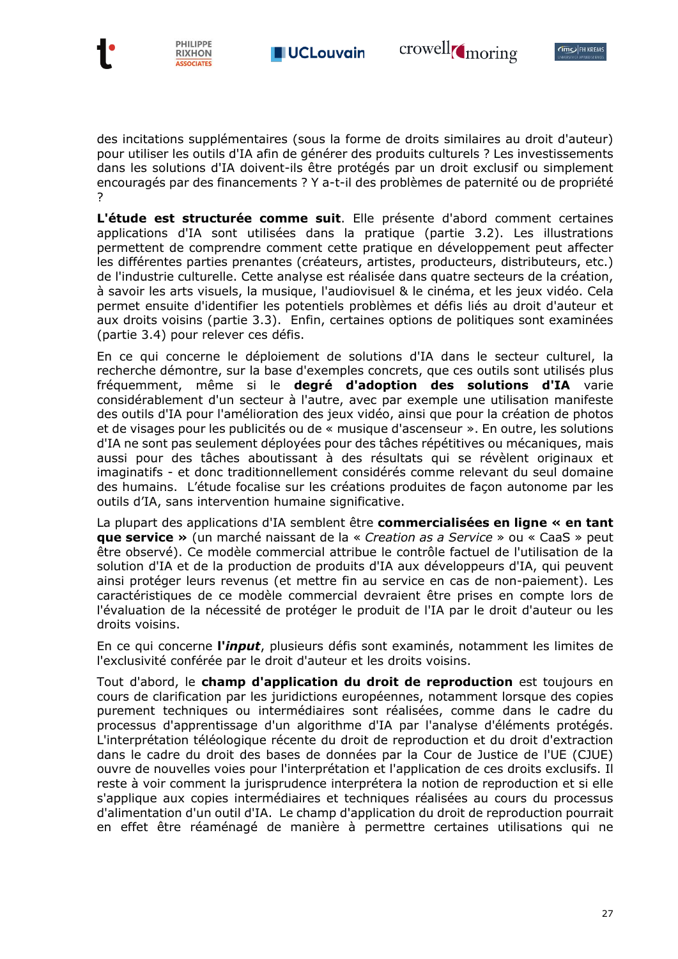





des incitations supplémentaires (sous la forme de droits similaires au droit d'auteur) pour utiliser les outils d'IA afin de générer des produits culturels ? Les investissements dans les solutions d'IA doivent-ils être protégés par un droit exclusif ou simplement encouragés par des financements ? Y a-t-il des problèmes de paternité ou de propriété ?

**L'étude est structurée comme suit**. Elle présente d'abord comment certaines applications d'IA sont utilisées dans la pratique (partie 3.2). Les illustrations permettent de comprendre comment cette pratique en développement peut affecter les différentes parties prenantes (créateurs, artistes, producteurs, distributeurs, etc.) de l'industrie culturelle. Cette analyse est réalisée dans quatre secteurs de la création, à savoir les arts visuels, la musique, l'audiovisuel & le cinéma, et les jeux vidéo. Cela permet ensuite d'identifier les potentiels problèmes et défis liés au droit d'auteur et aux droits voisins (partie 3.3). Enfin, certaines options de politiques sont examinées (partie 3.4) pour relever ces défis.

En ce qui concerne le déploiement de solutions d'IA dans le secteur culturel, la recherche démontre, sur la base d'exemples concrets, que ces outils sont utilisés plus fréquemment, même si le **degré d'adoption des solutions d'IA** varie considérablement d'un secteur à l'autre, avec par exemple une utilisation manifeste des outils d'IA pour l'amélioration des jeux vidéo, ainsi que pour la création de photos et de visages pour les publicités ou de « musique d'ascenseur ». En outre, les solutions d'IA ne sont pas seulement déployées pour des tâches répétitives ou mécaniques, mais aussi pour des tâches aboutissant à des résultats qui se révèlent originaux et imaginatifs - et donc traditionnellement considérés comme relevant du seul domaine des humains. L'étude focalise sur les créations produites de façon autonome par les outils d'IA, sans intervention humaine significative.

La plupart des applications d'IA semblent être **commercialisées en ligne « en tant que service »** (un marché naissant de la « *Creation as a Service* » ou « CaaS » peut être observé). Ce modèle commercial attribue le contrôle factuel de l'utilisation de la solution d'IA et de la production de produits d'IA aux développeurs d'IA, qui peuvent ainsi protéger leurs revenus (et mettre fin au service en cas de non-paiement). Les caractéristiques de ce modèle commercial devraient être prises en compte lors de l'évaluation de la nécessité de protéger le produit de l'IA par le droit d'auteur ou les droits voisins.

En ce qui concerne **l'***input*, plusieurs défis sont examinés, notamment les limites de l'exclusivité conférée par le droit d'auteur et les droits voisins.

Tout d'abord, le **champ d'application du droit de reproduction** est toujours en cours de clarification par les juridictions européennes, notamment lorsque des copies purement techniques ou intermédiaires sont réalisées, comme dans le cadre du processus d'apprentissage d'un algorithme d'IA par l'analyse d'éléments protégés. L'interprétation téléologique récente du droit de reproduction et du droit d'extraction dans le cadre du droit des bases de données par la Cour de Justice de l'UE (CJUE) ouvre de nouvelles voies pour l'interprétation et l'application de ces droits exclusifs. Il reste à voir comment la jurisprudence interprétera la notion de reproduction et si elle s'applique aux copies intermédiaires et techniques réalisées au cours du processus d'alimentation d'un outil d'IA. Le champ d'application du droit de reproduction pourrait en effet être réaménagé de manière à permettre certaines utilisations qui ne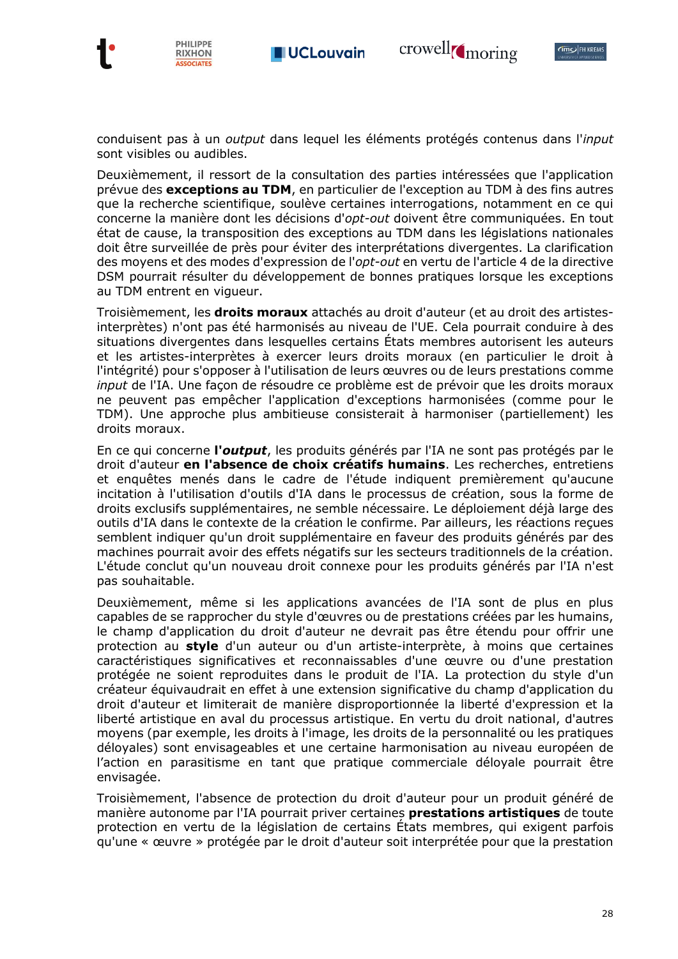



conduisent pas à un *output* dans lequel les éléments protégés contenus dans l'*input* sont visibles ou audibles.

crowell<sub>(moring</sub>

Deuxièmement, il ressort de la consultation des parties intéressées que l'application prévue des **exceptions au TDM**, en particulier de l'exception au TDM à des fins autres que la recherche scientifique, soulève certaines interrogations, notamment en ce qui concerne la manière dont les décisions d'*opt-out* doivent être communiquées. En tout état de cause, la transposition des exceptions au TDM dans les législations nationales doit être surveillée de près pour éviter des interprétations divergentes. La clarification des moyens et des modes d'expression de l'*opt-out* en vertu de l'article 4 de la directive DSM pourrait résulter du développement de bonnes pratiques lorsque les exceptions au TDM entrent en vigueur.

Troisièmement, les **droits moraux** attachés au droit d'auteur (et au droit des artistesinterprètes) n'ont pas été harmonisés au niveau de l'UE. Cela pourrait conduire à des situations divergentes dans lesquelles certains États membres autorisent les auteurs et les artistes-interprètes à exercer leurs droits moraux (en particulier le droit à l'intégrité) pour s'opposer à l'utilisation de leurs œuvres ou de leurs prestations comme *input* de l'IA. Une façon de résoudre ce problème est de prévoir que les droits moraux ne peuvent pas empêcher l'application d'exceptions harmonisées (comme pour le TDM). Une approche plus ambitieuse consisterait à harmoniser (partiellement) les droits moraux.

En ce qui concerne **l'***output*, les produits générés par l'IA ne sont pas protégés par le droit d'auteur **en l'absence de choix créatifs humains**. Les recherches, entretiens et enquêtes menés dans le cadre de l'étude indiquent premièrement qu'aucune incitation à l'utilisation d'outils d'IA dans le processus de création, sous la forme de droits exclusifs supplémentaires, ne semble nécessaire. Le déploiement déjà large des outils d'IA dans le contexte de la création le confirme. Par ailleurs, les réactions reçues semblent indiquer qu'un droit supplémentaire en faveur des produits générés par des machines pourrait avoir des effets négatifs sur les secteurs traditionnels de la création. L'étude conclut qu'un nouveau droit connexe pour les produits générés par l'IA n'est pas souhaitable.

Deuxièmement, même si les applications avancées de l'IA sont de plus en plus capables de se rapprocher du style d'œuvres ou de prestations créées par les humains, le champ d'application du droit d'auteur ne devrait pas être étendu pour offrir une protection au **style** d'un auteur ou d'un artiste-interprète, à moins que certaines caractéristiques significatives et reconnaissables d'une œuvre ou d'une prestation protégée ne soient reproduites dans le produit de l'IA. La protection du style d'un créateur équivaudrait en effet à une extension significative du champ d'application du droit d'auteur et limiterait de manière disproportionnée la liberté d'expression et la liberté artistique en aval du processus artistique. En vertu du droit national, d'autres moyens (par exemple, les droits à l'image, les droits de la personnalité ou les pratiques déloyales) sont envisageables et une certaine harmonisation au niveau européen de l'action en parasitisme en tant que pratique commerciale déloyale pourrait être envisagée.

Troisièmement, l'absence de protection du droit d'auteur pour un produit généré de manière autonome par l'IA pourrait priver certaines **prestations artistiques** de toute protection en vertu de la législation de certains États membres, qui exigent parfois qu'une « œuvre » protégée par le droit d'auteur soit interprétée pour que la prestation